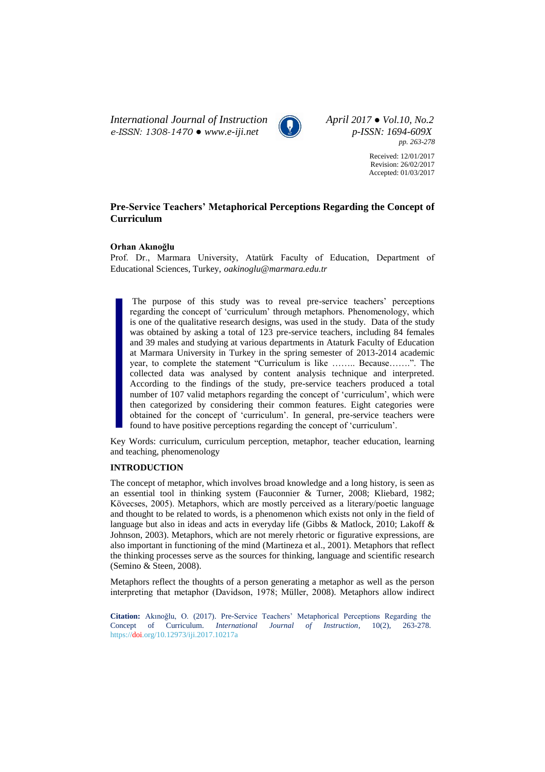*International Journal of Instruction April 2017 ● Vol.10, No.2 e-ISSN: 1308-1470 ● www.e-iji.net p-ISSN: 1694-609X*



*pp. 263-278*

Received: 12/01/2017 Revision: 26/02/2017 Accepted: 01/03/2017

# **Pre-Service Teachers' Metaphorical Perceptions Regarding the Concept of Curriculum**

### **Orhan Akınoğlu**

Prof. Dr., Marmara University, Atatürk Faculty of Education, Department of Educational Sciences, Turkey, *oakinoglu@marmara.edu.tr*

The purpose of this study was to reveal pre-service teachers' perceptions regarding the concept of 'curriculum' through metaphors. Phenomenology, which is one of the qualitative research designs, was used in the study. Data of the study was obtained by asking a total of 123 pre-service teachers, including 84 females and 39 males and studying at various departments in Ataturk Faculty of Education at Marmara University in Turkey in the spring semester of 2013-2014 academic year, to complete the statement "Curriculum is like …….. Because…….". The collected data was analysed by content analysis technique and interpreted. According to the findings of the study, pre-service teachers produced a total number of 107 valid metaphors regarding the concept of 'curriculum', which were then categorized by considering their common features. Eight categories were obtained for the concept of 'curriculum'. In general, pre-service teachers were found to have positive perceptions regarding the concept of 'curriculum'.

Key Words: curriculum, curriculum perception, metaphor, teacher education, learning and teaching, phenomenology

## **INTRODUCTION**

The concept of metaphor, which involves broad knowledge and a long history, is seen as an essential tool in thinking system (Fauconnier & Turner, 2008; Kliebard, 1982; Kövecses, 2005). Metaphors, which are mostly perceived as a literary/poetic language and thought to be related to words, is a phenomenon which exists not only in the field of language but also in ideas and acts in everyday life (Gibbs & Matlock, 2010; Lakoff & Johnson, 2003). Metaphors, which are not merely rhetoric or figurative expressions, are also important in functioning of the mind (Martineza et al., 2001). Metaphors that reflect the thinking processes serve as the sources for thinking, language and scientific research (Semino & Steen, 2008).

Metaphors reflect the thoughts of a person generating a metaphor as well as the person interpreting that metaphor (Davidson, 1978; Müller, 2008). Metaphors allow indirect

**Citation:** Akınoğlu, O. (2017). Pre-Service Teachers' Metaphorical Perceptions Regarding the Concept of Curriculum. *International Journal of Instruction*, 10(2), 263-278. https://doi.org/10.12973/iji.2017.10217a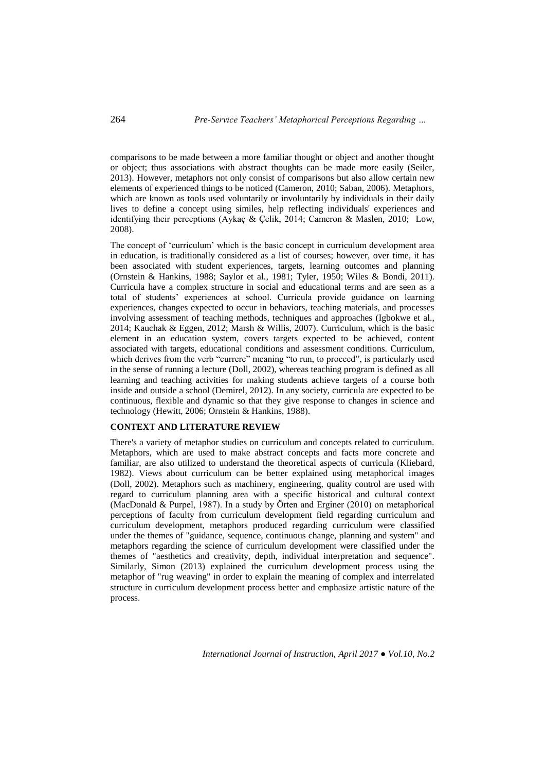comparisons to be made between a more familiar thought or object and another thought or object; thus associations with abstract thoughts can be made more easily (Seiler, 2013). However, metaphors not only consist of comparisons but also allow certain new elements of experienced things to be noticed (Cameron, 2010; Saban, 2006). Metaphors, which are known as tools used voluntarily or involuntarily by individuals in their daily lives to define a concept using similes, help reflecting individuals' experiences and identifying their perceptions (Aykaç & Çelik, 2014; Cameron & Maslen, 2010; Low, 2008).

The concept of 'curriculum' which is the basic concept in curriculum development area in education, is traditionally considered as a list of courses; however, over time, it has been associated with student experiences, targets, learning outcomes and planning (Ornstein & Hankins, 1988; Saylor et al., 1981; Tyler, 1950; Wiles & Bondi, 2011). Curricula have a complex structure in social and educational terms and are seen as a total of students' experiences at school. Curricula provide guidance on learning experiences, changes expected to occur in behaviors, teaching materials, and processes involving assessment of teaching methods, techniques and approaches (Igbokwe et al., 2014; Kauchak & Eggen, 2012; Marsh & Willis, 2007). Curriculum, which is the basic element in an education system, covers targets expected to be achieved, content associated with targets, educational conditions and assessment conditions. Curriculum, which derives from the verb "currere" meaning "to run, to proceed", is particularly used in the sense of running a lecture (Doll, 2002), whereas teaching program is defined as all learning and teaching activities for making students achieve targets of a course both inside and outside a school (Demirel, 2012). In any society, curricula are expected to be continuous, flexible and dynamic so that they give response to changes in science and technology (Hewitt, 2006; Ornstein & Hankins, 1988).

### **CONTEXT AND LITERATURE REVIEW**

There's a variety of metaphor studies on curriculum and concepts related to curriculum. Metaphors, which are used to make abstract concepts and facts more concrete and familiar, are also utilized to understand the theoretical aspects of curricula (Kliebard, 1982). Views about curriculum can be better explained using metaphorical images (Doll, 2002). Metaphors such as machinery, engineering, quality control are used with regard to curriculum planning area with a specific historical and cultural context (MacDonald & Purpel, 1987). In a study by Örten and Erginer (2010) on metaphorical perceptions of faculty from curriculum development field regarding curriculum and curriculum development, metaphors produced regarding curriculum were classified under the themes of "guidance, sequence, continuous change, planning and system" and metaphors regarding the science of curriculum development were classified under the themes of "aesthetics and creativity, depth, individual interpretation and sequence". Similarly, Simon (2013) explained the curriculum development process using the metaphor of "rug weaving" in order to explain the meaning of complex and interrelated structure in curriculum development process better and emphasize artistic nature of the process.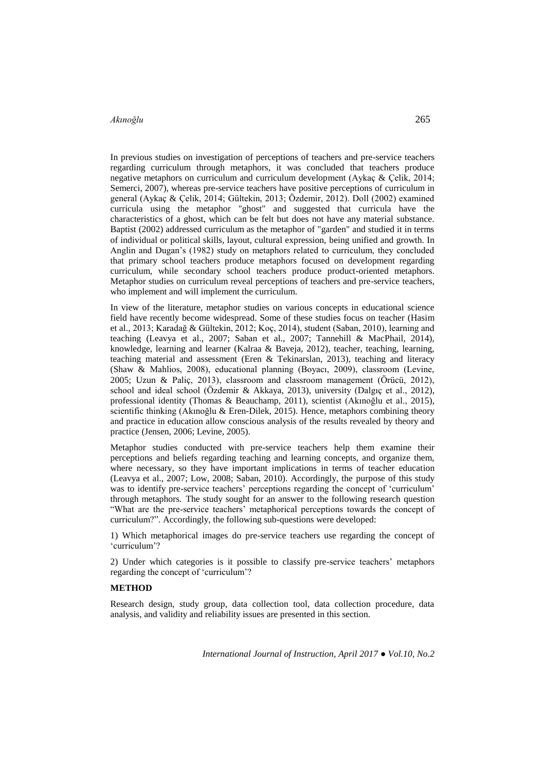In previous studies on investigation of perceptions of teachers and pre-service teachers regarding curriculum through metaphors, it was concluded that teachers produce negative metaphors on curriculum and curriculum development (Aykaç & Çelik, 2014; Semerci, 2007), whereas pre-service teachers have positive perceptions of curriculum in general (Aykaç & Çelik, 2014; Gültekin, 2013; Özdemir, 2012). Doll (2002) examined curricula using the metaphor "ghost" and suggested that curricula have the characteristics of a ghost, which can be felt but does not have any material substance. Baptist (2002) addressed curriculum as the metaphor of "garden" and studied it in terms of individual or political skills, layout, cultural expression, being unified and growth. In Anglin and Dugan's (1982) study on metaphors related to curriculum, they concluded that primary school teachers produce metaphors focused on development regarding curriculum, while secondary school teachers produce product-oriented metaphors. Metaphor studies on curriculum reveal perceptions of teachers and pre-service teachers, who implement and will implement the curriculum.

In view of the literature, metaphor studies on various concepts in educational science field have recently become widespread. Some of these studies focus on teacher (Hasim et al., 2013; Karadağ & Gültekin, 2012; Koç, 2014), student (Saban, 2010), learning and teaching (Leavya et al., 2007; Saban et al., 2007; Tannehill & MacPhail, 2014), knowledge, learning and learner (Kalraa & Baveja, 2012), teacher, teaching, learning, teaching material and assessment (Eren & Tekinarslan, 2013), teaching and literacy (Shaw & Mahlios, 2008), educational planning (Boyacı, 2009), classroom (Levine, 2005; Uzun & Paliç, 2013), classroom and classroom management (Örücü, 2012), school and ideal school (Özdemir & Akkaya, 2013), university (Dalgıç et al., 2012), professional identity (Thomas & Beauchamp, 2011), scientist (Akınoğlu et al., 2015), scientific thinking (Akınoğlu & Eren-Dilek, 2015). Hence, metaphors combining theory and practice in education allow conscious analysis of the results revealed by theory and practice (Jensen, 2006; Levine, 2005).

Metaphor studies conducted with pre-service teachers help them examine their perceptions and beliefs regarding teaching and learning concepts, and organize them, where necessary, so they have important implications in terms of teacher education (Leavya et al., 2007; Low, 2008; Saban, 2010). Accordingly, the purpose of this study was to identify pre-service teachers' perceptions regarding the concept of 'curriculum' through metaphors. The study sought for an answer to the following research question "What are the pre-service teachers' metaphorical perceptions towards the concept of curriculum?". Accordingly, the following sub-questions were developed:

1) Which metaphorical images do pre-service teachers use regarding the concept of 'curriculum'?

2) Under which categories is it possible to classify pre-service teachers' metaphors regarding the concept of 'curriculum'?

### **METHOD**

Research design, study group, data collection tool, data collection procedure, data analysis, and validity and reliability issues are presented in this section.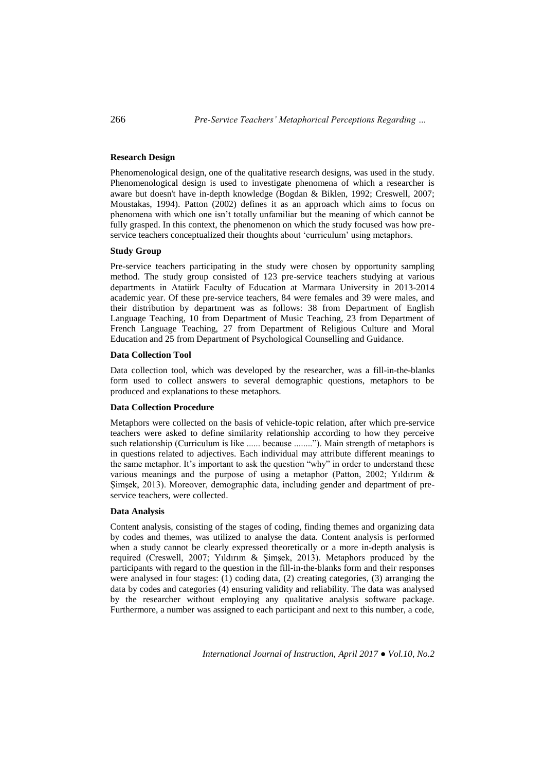### **Research Design**

Phenomenological design, one of the qualitative research designs, was used in the study. Phenomenological design is used to investigate phenomena of which a researcher is aware but doesn't have in-depth knowledge (Bogdan & Biklen, 1992; Creswell, 2007; Moustakas, 1994). Patton (2002) defines it as an approach which aims to focus on phenomena with which one isn't totally unfamiliar but the meaning of which cannot be fully grasped. In this context, the phenomenon on which the study focused was how preservice teachers conceptualized their thoughts about 'curriculum' using metaphors.

### **Study Group**

Pre-service teachers participating in the study were chosen by opportunity sampling method. The study group consisted of 123 pre-service teachers studying at various departments in Atatürk Faculty of Education at Marmara University in 2013-2014 academic year. Of these pre-service teachers, 84 were females and 39 were males, and their distribution by department was as follows: 38 from Department of English Language Teaching, 10 from Department of Music Teaching, 23 from Department of French Language Teaching, 27 from Department of Religious Culture and Moral Education and 25 from Department of Psychological Counselling and Guidance.

### **Data Collection Tool**

Data collection tool, which was developed by the researcher, was a fill-in-the-blanks form used to collect answers to several demographic questions, metaphors to be produced and explanations to these metaphors.

### **Data Collection Procedure**

Metaphors were collected on the basis of vehicle-topic relation, after which pre-service teachers were asked to define similarity relationship according to how they perceive such relationship (Curriculum is like ...... because ........"). Main strength of metaphors is in questions related to adjectives. Each individual may attribute different meanings to the same metaphor. It's important to ask the question "why" in order to understand these various meanings and the purpose of using a metaphor (Patton, 2002; Yıldırım & Şimşek, 2013). Moreover, demographic data, including gender and department of preservice teachers, were collected.

#### **Data Analysis**

Content analysis, consisting of the stages of coding, finding themes and organizing data by codes and themes, was utilized to analyse the data. Content analysis is performed when a study cannot be clearly expressed theoretically or a more in-depth analysis is required (Creswell, 2007; Yıldırım & Şimşek, 2013). Metaphors produced by the participants with regard to the question in the fill-in-the-blanks form and their responses were analysed in four stages: (1) coding data, (2) creating categories, (3) arranging the data by codes and categories (4) ensuring validity and reliability. The data was analysed by the researcher without employing any qualitative analysis software package. Furthermore, a number was assigned to each participant and next to this number, a code,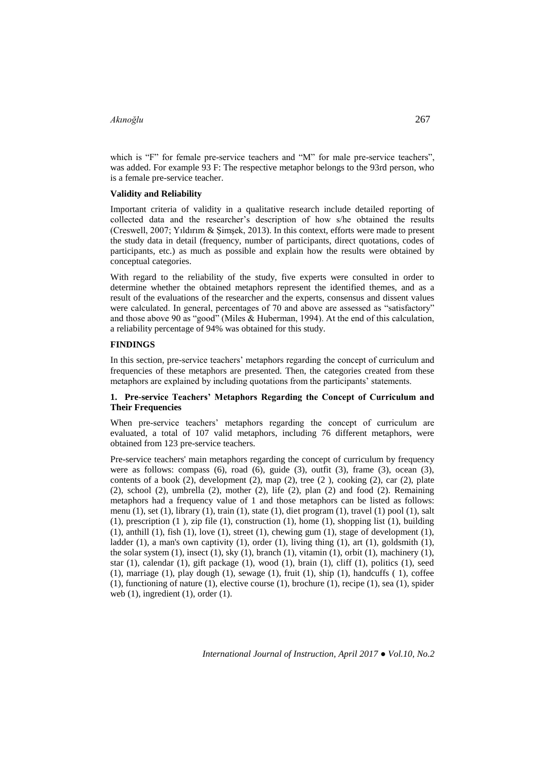which is "F" for female pre-service teachers and "M" for male pre-service teachers". was added. For example 93 F: The respective metaphor belongs to the 93rd person, who is a female pre-service teacher.

#### **Validity and Reliability**

Important criteria of validity in a qualitative research include detailed reporting of collected data and the researcher's description of how s/he obtained the results (Creswell, 2007; Yıldırım & Şimşek, 2013). In this context, efforts were made to present the study data in detail (frequency, number of participants, direct quotations, codes of participants, etc.) as much as possible and explain how the results were obtained by conceptual categories.

With regard to the reliability of the study, five experts were consulted in order to determine whether the obtained metaphors represent the identified themes, and as a result of the evaluations of the researcher and the experts, consensus and dissent values were calculated. In general, percentages of 70 and above are assessed as "satisfactory" and those above 90 as "good" (Miles & Huberman, 1994). At the end of this calculation, a reliability percentage of 94% was obtained for this study.

### **FINDINGS**

In this section, pre-service teachers' metaphors regarding the concept of curriculum and frequencies of these metaphors are presented. Then, the categories created from these metaphors are explained by including quotations from the participants' statements.

### **1. Pre-service Teachers' Metaphors Regarding the Concept of Curriculum and Their Frequencies**

When pre-service teachers' metaphors regarding the concept of curriculum are evaluated, a total of 107 valid metaphors, including 76 different metaphors, were obtained from 123 pre-service teachers.

Pre-service teachers' main metaphors regarding the concept of curriculum by frequency were as follows: compass (6), road (6), guide (3), outfit (3), frame (3), ocean (3), contents of a book  $(2)$ , development  $(2)$ , map  $(2)$ , tree  $(2)$ , cooking  $(2)$ , car  $(2)$ , plate (2), school (2), umbrella (2), mother (2), life (2), plan (2) and food (2). Remaining metaphors had a frequency value of 1 and those metaphors can be listed as follows: menu (1), set (1), library (1), train (1), state (1), diet program (1), travel (1) pool (1), salt (1), prescription (1 ), zip file (1), construction (1), home (1), shopping list (1), building  $(1)$ , anthill  $(1)$ , fish  $(1)$ , love  $(1)$ , street  $(1)$ , chewing gum  $(1)$ , stage of development  $(1)$ , ladder (1), a man's own captivity (1), order (1), living thing (1), art (1), goldsmith (1), the solar system  $(1)$ , insect  $(1)$ , sky  $(1)$ , branch  $(1)$ , vitamin  $(1)$ , orbit  $(1)$ , machinery  $(1)$ , star (1), calendar (1), gift package (1), wood (1), brain (1), cliff (1), politics (1), seed (1), marriage (1), play dough (1), sewage (1), fruit (1), ship (1), handcuffs ( 1), coffee (1), functioning of nature (1), elective course (1), brochure (1), recipe (1), sea (1), spider web  $(1)$ , ingredient  $(1)$ , order  $(1)$ .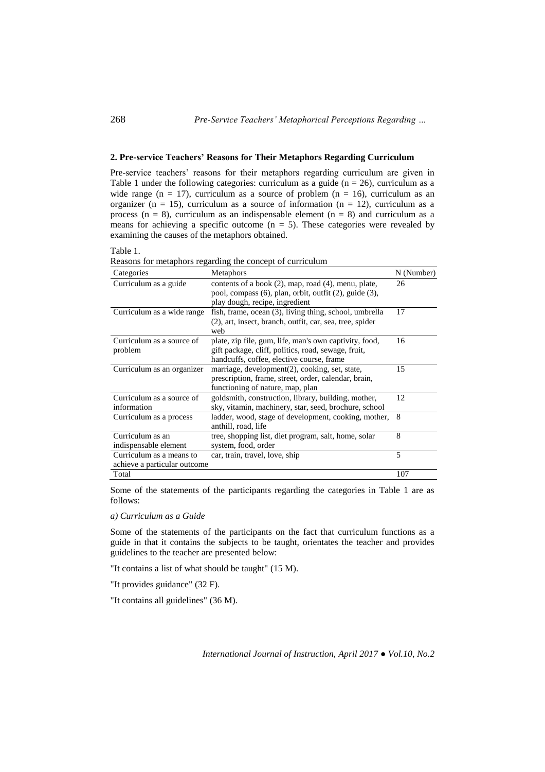### **2. Pre-service Teachers' Reasons for Their Metaphors Regarding Curriculum**

Pre-service teachers' reasons for their metaphors regarding curriculum are given in Table 1 under the following categories: curriculum as a guide ( $n = 26$ ), curriculum as a wide range ( $n = 17$ ), curriculum as a source of problem ( $n = 16$ ), curriculum as an organizer (n = 15), curriculum as a source of information (n = 12), curriculum as a process ( $n = 8$ ), curriculum as an indispensable element ( $n = 8$ ) and curriculum as a means for achieving a specific outcome  $(n = 5)$ . These categories were revealed by examining the causes of the metaphors obtained.

Table 1.

Reasons for metaphors regarding the concept of curriculum

| Categories                   | <b>Metaphors</b>                                                | N (Number) |
|------------------------------|-----------------------------------------------------------------|------------|
| Curriculum as a guide        | contents of a book (2), map, road (4), menu, plate,             | 26         |
|                              | pool, compass $(6)$ , plan, orbit, outfit $(2)$ , guide $(3)$ , |            |
|                              | play dough, recipe, ingredient                                  |            |
| Curriculum as a wide range   | fish, frame, ocean (3), living thing, school, umbrella          | 17         |
|                              | (2), art, insect, branch, outfit, car, sea, tree, spider        |            |
|                              | web                                                             |            |
| Curriculum as a source of    | plate, zip file, gum, life, man's own captivity, food,          | 16         |
| problem                      | gift package, cliff, politics, road, sewage, fruit,             |            |
|                              | handcuffs, coffee, elective course, frame                       |            |
| Curriculum as an organizer   | marriage, development(2), cooking, set, state,                  | 15         |
|                              | prescription, frame, street, order, calendar, brain,            |            |
|                              | functioning of nature, map, plan                                |            |
| Curriculum as a source of    | goldsmith, construction, library, building, mother,             | 12         |
| information                  | sky, vitamin, machinery, star, seed, brochure, school           |            |
| Curriculum as a process      | ladder, wood, stage of development, cooking, mother,            | 8          |
|                              | anthill, road, life                                             |            |
| Curriculum as an             | tree, shopping list, diet program, salt, home, solar            | 8          |
| indispensable element        | system, food, order                                             |            |
| Curriculum as a means to     | car, train, travel, love, ship                                  | 5          |
| achieve a particular outcome |                                                                 |            |
| Total                        |                                                                 | 107        |

Some of the statements of the participants regarding the categories in Table 1 are as follows:

# *a) Curriculum as a Guide*

Some of the statements of the participants on the fact that curriculum functions as a guide in that it contains the subjects to be taught, orientates the teacher and provides guidelines to the teacher are presented below:

"It contains a list of what should be taught" (15 M).

"It provides guidance" (32 F).

"It contains all guidelines" (36 M).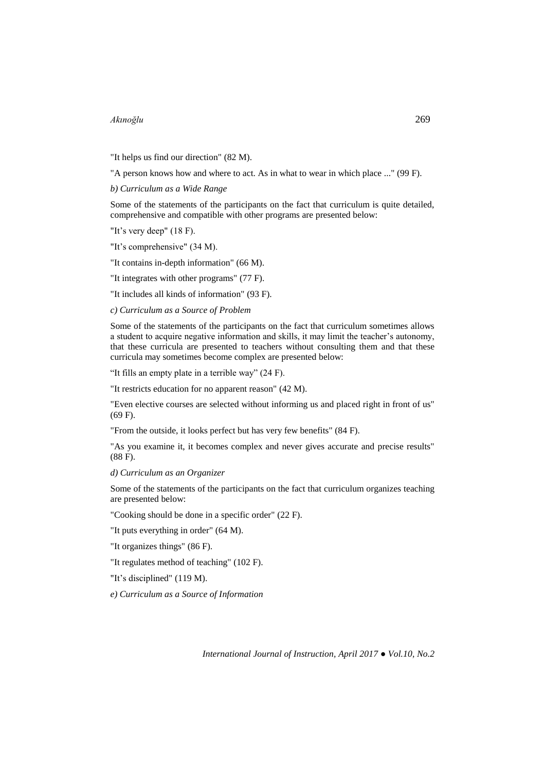"It helps us find our direction" (82 M).

"A person knows how and where to act. As in what to wear in which place ..." (99 F).

*b) Curriculum as a Wide Range*

Some of the statements of the participants on the fact that curriculum is quite detailed, comprehensive and compatible with other programs are presented below:

"It's very deep" (18 F).

"It's comprehensive" (34 M).

"It contains in-depth information" (66 M).

"It integrates with other programs" (77 F).

"It includes all kinds of information" (93 F).

*c) Curriculum as a Source of Problem*

Some of the statements of the participants on the fact that curriculum sometimes allows a student to acquire negative information and skills, it may limit the teacher's autonomy, that these curricula are presented to teachers without consulting them and that these curricula may sometimes become complex are presented below:

"It fills an empty plate in a terrible way" (24 F).

"It restricts education for no apparent reason" (42 M).

"Even elective courses are selected without informing us and placed right in front of us" (69 F).

"From the outside, it looks perfect but has very few benefits" (84 F).

"As you examine it, it becomes complex and never gives accurate and precise results" (88 F).

#### *d) Curriculum as an Organizer*

Some of the statements of the participants on the fact that curriculum organizes teaching are presented below:

"Cooking should be done in a specific order" (22 F).

"It puts everything in order" (64 M).

"It organizes things" (86 F).

"It regulates method of teaching" (102 F).

"It's disciplined" (119 M).

*e) Curriculum as a Source of Information*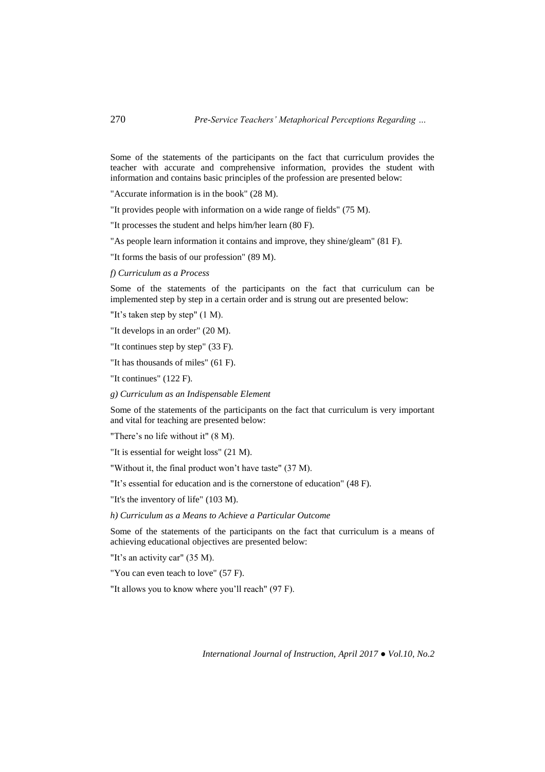Some of the statements of the participants on the fact that curriculum provides the teacher with accurate and comprehensive information, provides the student with information and contains basic principles of the profession are presented below:

"Accurate information is in the book" (28 M).

"It provides people with information on a wide range of fields" (75 M).

"It processes the student and helps him/her learn (80 F).

"As people learn information it contains and improve, they shine/gleam" (81 F).

"It forms the basis of our profession" (89 M).

*f) Curriculum as a Process*

Some of the statements of the participants on the fact that curriculum can be implemented step by step in a certain order and is strung out are presented below:

"It's taken step by step" (1 M).

"It develops in an order" (20 M).

"It continues step by step" (33 F).

"It has thousands of miles" (61 F).

"It continues" (122 F).

*g) Curriculum as an Indispensable Element*

Some of the statements of the participants on the fact that curriculum is very important and vital for teaching are presented below:

"There's no life without it" (8 M).

"It is essential for weight loss" (21 M).

"Without it, the final product won't have taste" (37 M).

"It's essential for education and is the cornerstone of education" (48 F).

"It's the inventory of life" (103 M).

*h) Curriculum as a Means to Achieve a Particular Outcome*

Some of the statements of the participants on the fact that curriculum is a means of achieving educational objectives are presented below:

"It's an activity car" (35 M).

"You can even teach to love" (57 F).

"It allows you to know where you'll reach" (97 F).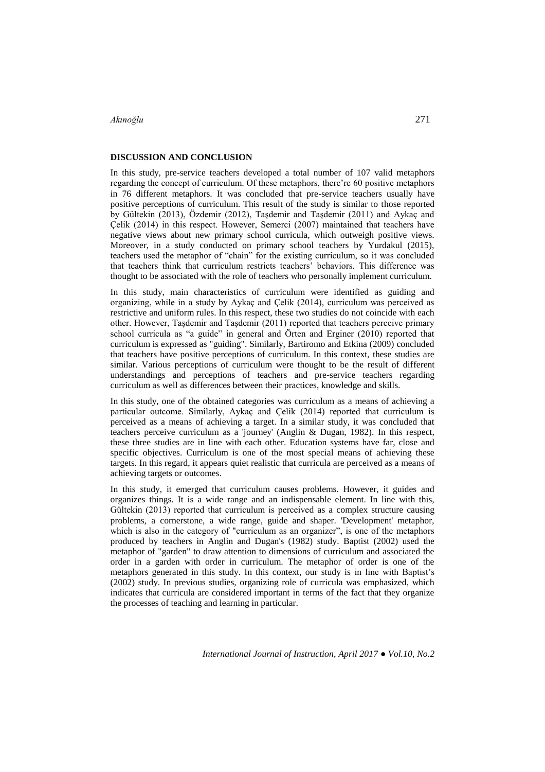### **DISCUSSION AND CONCLUSION**

In this study, pre-service teachers developed a total number of 107 valid metaphors regarding the concept of curriculum. Of these metaphors, there're 60 positive metaphors in 76 different metaphors. It was concluded that pre-service teachers usually have positive perceptions of curriculum. This result of the study is similar to those reported by Gültekin (2013), Özdemir (2012), Taşdemir and Taşdemir (2011) and Aykaç and Çelik (2014) in this respect. However, Semerci (2007) maintained that teachers have negative views about new primary school curricula, which outweigh positive views. Moreover, in a study conducted on primary school teachers by Yurdakul (2015), teachers used the metaphor of "chain" for the existing curriculum, so it was concluded that teachers think that curriculum restricts teachers' behaviors. This difference was thought to be associated with the role of teachers who personally implement curriculum.

In this study, main characteristics of curriculum were identified as guiding and organizing, while in a study by Aykaç and Çelik (2014), curriculum was perceived as restrictive and uniform rules. In this respect, these two studies do not coincide with each other. However, Taşdemir and Taşdemir (2011) reported that teachers perceive primary school curricula as "a guide" in general and Örten and Erginer (2010) reported that curriculum is expressed as "guiding". Similarly, Bartiromo and Etkina (2009) concluded that teachers have positive perceptions of curriculum. In this context, these studies are similar. Various perceptions of curriculum were thought to be the result of different understandings and perceptions of teachers and pre-service teachers regarding curriculum as well as differences between their practices, knowledge and skills.

In this study, one of the obtained categories was curriculum as a means of achieving a particular outcome. Similarly, Aykaç and Çelik (2014) reported that curriculum is perceived as a means of achieving a target. In a similar study, it was concluded that teachers perceive curriculum as a 'journey' (Anglin & Dugan, 1982). In this respect, these three studies are in line with each other. Education systems have far, close and specific objectives. Curriculum is one of the most special means of achieving these targets. In this regard, it appears quiet realistic that curricula are perceived as a means of achieving targets or outcomes.

In this study, it emerged that curriculum causes problems. However, it guides and organizes things. It is a wide range and an indispensable element. In line with this, Gültekin (2013) reported that curriculum is perceived as a complex structure causing problems, a cornerstone, a wide range, guide and shaper. 'Development' metaphor, which is also in the category of "curriculum as an organizer", is one of the metaphors produced by teachers in Anglin and Dugan's (1982) study. Baptist (2002) used the metaphor of "garden" to draw attention to dimensions of curriculum and associated the order in a garden with order in curriculum. The metaphor of order is one of the metaphors generated in this study. In this context, our study is in line with Baptist's (2002) study. In previous studies, organizing role of curricula was emphasized, which indicates that curricula are considered important in terms of the fact that they organize the processes of teaching and learning in particular.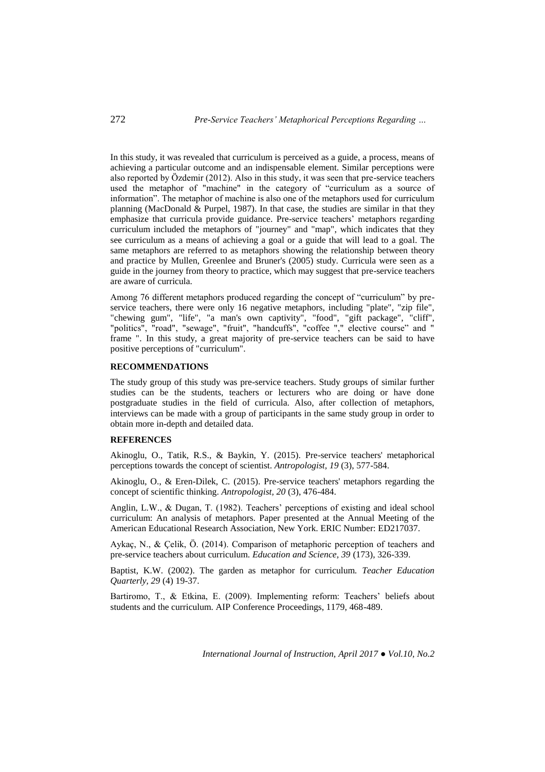In this study, it was revealed that curriculum is perceived as a guide, a process, means of achieving a particular outcome and an indispensable element. Similar perceptions were also reported by Özdemir (2012). Also in this study, it was seen that pre-service teachers used the metaphor of "machine" in the category of "curriculum as a source of information". The metaphor of machine is also one of the metaphors used for curriculum planning (MacDonald & Purpel, 1987). In that case, the studies are similar in that they emphasize that curricula provide guidance. Pre-service teachers' metaphors regarding curriculum included the metaphors of "journey" and "map", which indicates that they see curriculum as a means of achieving a goal or a guide that will lead to a goal. The same metaphors are referred to as metaphors showing the relationship between theory and practice by Mullen, Greenlee and Bruner's (2005) study. Curricula were seen as a guide in the journey from theory to practice, which may suggest that pre-service teachers are aware of curricula.

Among 76 different metaphors produced regarding the concept of "curriculum" by preservice teachers, there were only 16 negative metaphors, including "plate", "zip file", "chewing gum", "life", "a man's own captivity", "food", "gift package", "cliff", "politics", "road", "sewage", "fruit", "handcuffs", "coffee "," elective course" and " frame ". In this study, a great majority of pre-service teachers can be said to have positive perceptions of "curriculum".

### **RECOMMENDATIONS**

The study group of this study was pre-service teachers. Study groups of similar further studies can be the students, teachers or lecturers who are doing or have done postgraduate studies in the field of curricula. Also, after collection of metaphors, interviews can be made with a group of participants in the same study group in order to obtain more in-depth and detailed data.

#### **REFERENCES**

Akinoglu, O., Tatik, R.S., & Baykin, Y. (2015). Pre-service teachers' metaphorical perceptions towards the concept of scientist. *Antropologist, 19* (3), 577-584.

Akinoglu, O., & Eren-Dilek, C. (2015). Pre-service teachers' metaphors regarding the concept of scientific thinking. *Antropologist, 20* (3), 476-484.

Anglin, L.W., & Dugan, T. (1982). Teachers' perceptions of existing and ideal school curriculum: An analysis of metaphors. Paper presented at the Annual Meeting of the American Educational Research Association, New York. ERIC Number: ED217037.

Aykaç, N., & Çelik, Ö. (2014). Comparison of metaphoric perception of teachers and pre-service teachers about curriculum. *Education and Science, 39* (173), 326-339.

Baptist, K.W. (2002). The garden as metaphor for curriculum. *Teacher Education Quarterly, 29* (4) 19-37.

Bartiromo, T., & Etkina, E. (2009). Implementing reform: Teachers' beliefs about students and the curriculum. AIP Conference Proceedings, 1179, 468-489.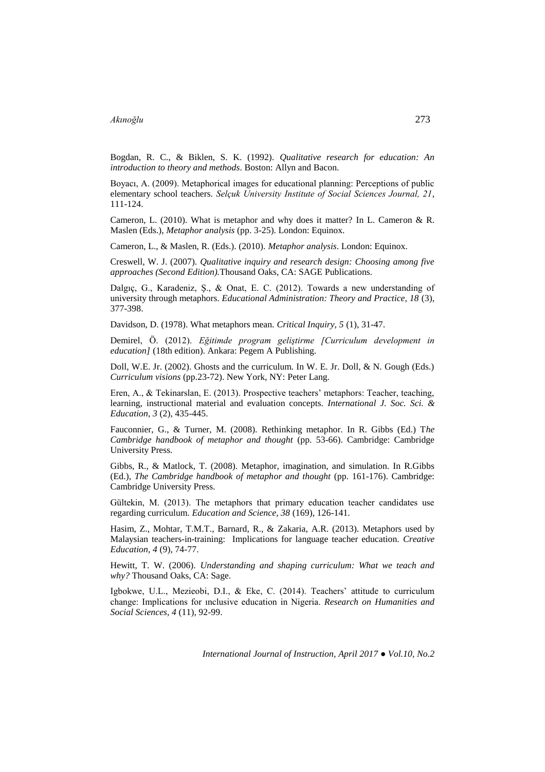Bogdan, R. C., & Biklen, S. K. (1992). *Qualitative research for education: An introduction to theory and methods*. Boston: Allyn and Bacon.

Boyacı, A. (2009). Metaphorical images for educational planning: Perceptions of public elementary school teachers. *Selçuk University Institute of Social Sciences Journal, 21*, 111-124.

Cameron, L. (2010). What is metaphor and why does it matter? In L. Cameron & R. Maslen (Eds.), *Metaphor analysis* (pp. 3-25). London: Equinox.

Cameron, L., & Maslen, R. (Eds.). (2010). *Metaphor analysis*. London: Equinox.

Creswell, W. J. (2007). *Qualitative inquiry and research design: Choosing among five approaches (Second Edition).*Thousand Oaks, CA: SAGE Publications.

Dalgıç, G., Karadeniz, Ş., & Onat, E. C. (2012). Towards a new understanding of university through metaphors. *Educational Administration: Theory and Practice, 18* (3), 377-398.

Davidson, D. (1978). What metaphors mean. *Critical Inquiry, 5* (1), 31-47.

Demirel, Ö. (2012). *Eğitimde program geliştirme [Curriculum development in education]* (18th edition). Ankara: Pegem A Publishing.

Doll, W.E. Jr. (2002). Ghosts and the curriculum. In W. E. Jr. Doll, & N. Gough (Eds.) *Curriculum visions* (pp.23-72). New York, NY: Peter Lang.

Eren, A., & Tekinarslan, E. (2013). Prospective teachers' metaphors: Teacher, teaching, learning, instructional material and evaluation concepts. *International J. Soc. Sci. & Education, 3* (2), 435-445.

Fauconnier, G., & Turner, M. (2008). Rethinking metaphor. In R. Gibbs (Ed.) T*he Cambridge handbook of metaphor and thought* (pp. 53-66). Cambridge: Cambridge University Press.

Gibbs, R., & Matlock, T. (2008). Metaphor, imagination, and simulation. In R.Gibbs (Ed.), *The Cambridge handbook of metaphor and thought* (pp. 161-176). Cambridge: Cambridge University Press.

Gültekin, M. (2013). The metaphors that primary education teacher candidates use regarding curriculum. *Education and Science, 38* (169), 126-141.

Hasim, Z., Mohtar, T.M.T., Barnard, R., & Zakaria, A.R. (2013). Metaphors used by Malaysian teachers-in-training: Implications for language teacher education. *Creative Education, 4* (9), 74-77.

Hewitt, T. W. (2006). *Understanding and shaping curriculum: What we teach and why?* Thousand Oaks, CA: Sage.

Igbokwe, U.L., Mezieobi, D.I., & Eke, C. (2014). Teachers' attitude to curriculum change: Implications for ınclusive education in Nigeria. *Research on Humanities and Social Sciences, 4* (11), 92-99.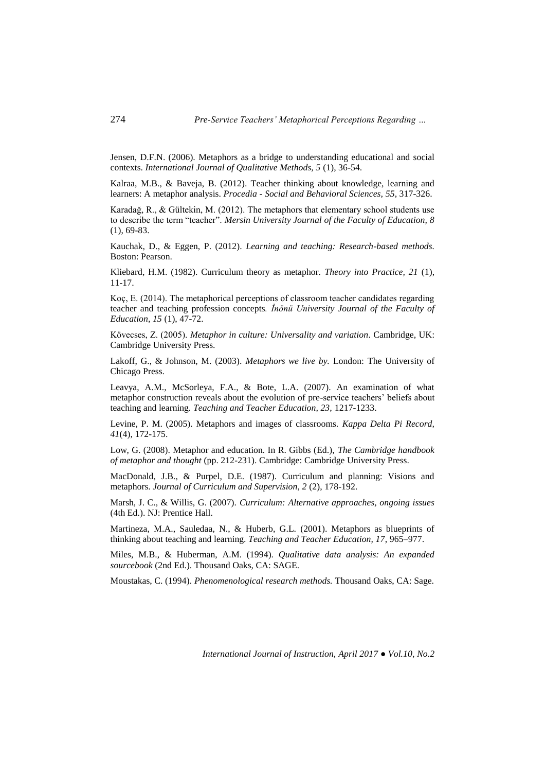Jensen, D.F.N. (2006). Metaphors as a bridge to understanding educational and social contexts. *International Journal of Qualitative Methods, 5* (1), 36-54.

Kalraa, M.B., & Baveja, B. (2012). Teacher thinking about knowledge, learning and learners: A metaphor analysis. *Procedia - Social and Behavioral Sciences, 55*, 317-326.

Karadağ, R., & Gültekin, M. (2012). The metaphors that elementary school students use to describe the term "teacher". *Mersin University Journal of the Faculty of Education, 8* (1), 69-83.

Kauchak, D., & Eggen, P. (2012). *Learning and teaching: Research-based methods.* Boston: Pearson.

Kliebard, H.M. (1982). Curriculum theory as metaphor. *Theory into Practice, 21* (1), 11-17.

Koç, E. (2014). The metaphorical perceptions of classroom teacher candidates regarding teacher and teaching profession concepts*. İnönü University Journal of the Faculty of Education, 15* (1), 47-72.

Kövecses, Z. (2005). *Metaphor in culture: Universality and variation*. Cambridge, UK: Cambridge University Press.

Lakoff, G., & Johnson, M. (2003). *Metaphors we live by.* London: The University of Chicago Press.

Leavya, A.M., McSorleya, F.A., & Bote, L.A. (2007). An examination of what metaphor construction reveals about the evolution of pre-service teachers' beliefs about teaching and learning. *Teaching and Teacher Education, 23,* 1217-1233.

Levine, P. M. (2005). Metaphors and images of classrooms. *Kappa Delta Pi Record, 41*(4)*,* 172-175.

Low, G. (2008). Metaphor and education. In R. Gibbs (Ed.), *The Cambridge handbook of metaphor and thought* (pp. 212-231). Cambridge: Cambridge University Press.

MacDonald, J.B., & Purpel, D.E. (1987). Curriculum and planning: Visions and metaphors. *Journal of Curriculum and Supervision, 2* (2), 178-192.

Marsh, J. C., & Willis, G. (2007). *Curriculum: Alternative approaches, ongoing issues* (4th Ed.). NJ: Prentice Hall.

Martineza, M.A., Sauledaa, N., & Huberb, G.L. (2001). Metaphors as blueprints of thinking about teaching and learning. *Teaching and Teacher Education, 17*, 965–977.

Miles, M.B., & Huberman, A.M. (1994). *Qualitative data analysis: An expanded sourcebook* (2nd Ed.). Thousand Oaks, CA: SAGE.

Moustakas, C. (1994). *Phenomenological research methods.* Thousand Oaks, CA: Sage.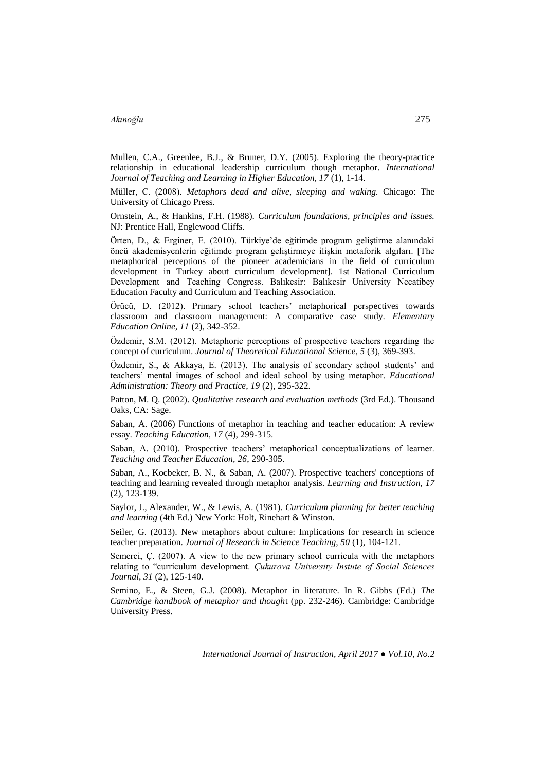Mullen, C.A., Greenlee, B.J., & Bruner, D.Y. (2005). Exploring the theory-practice relationship in educational leadership curriculum though metaphor. *International Journal of Teaching and Learning in Higher Education, 17* (1), 1-14.

Müller, C. (2008). *Metaphors dead and alive, sleeping and waking.* Chicago: The University of Chicago Press.

Ornstein, A., & Hankins, F.H. (1988). *Curriculum foundations, principles and issues.* NJ: Prentice Hall, Englewood Cliffs.

Örten, D., & Erginer, E. (2010). Türkiye'de eğitimde program geliştirme alanındaki öncü akademisyenlerin eğitimde program geliştirmeye ilişkin metaforik algıları. [The metaphorical perceptions of the pioneer academicians in the field of curriculum development in Turkey about curriculum development]. 1st National Curriculum Development and Teaching Congress. Balıkesir: Balıkesir University Necatibey Education Faculty and Curriculum and Teaching Association.

Örücü, D. (2012). Primary school teachers' metaphorical perspectives towards classroom and classroom management: A comparative case study. *Elementary Education Online, 11* (2), 342-352.

Özdemir, S.M. (2012). Metaphoric perceptions of prospective teachers regarding the concept of curriculum. *Journal of Theoretical Educational Science, 5* (3), 369-393.

Özdemir, S., & Akkaya, E. (2013). The analysis of secondary school students' and teachers' mental images of school and ideal school by using metaphor. *Educational Administration: Theory and Practice, 19* (2), 295-322.

Patton, M. Q. (2002). *Qualitative research and evaluation methods* (3rd Ed.). Thousand Oaks, CA: Sage.

Saban, A. (2006) Functions of metaphor in teaching and teacher education: A review essay. *Teaching Education, 17* (4), 299-315.

Saban, A. (2010). Prospective teachers' metaphorical conceptualizations of learner. *Teaching and Teacher Education, 26*, 290-305.

Saban, A., Kocbeker, B. N., & Saban, A. (2007). Prospective teachers' conceptions of teaching and learning revealed through metaphor analysis. *Learning and Instruction, 17* (2), 123-139.

Saylor, J., Alexander, W., & Lewis, A. (1981). *Curriculum planning for better teaching and learning* (4th Ed.) New York: Holt, Rinehart & Winston.

Seiler, G. (2013). New metaphors about culture: Implications for research in science teacher preparation. *Journal of Research in Science Teaching, 50* (1), 104-121.

Semerci, Ç. (2007). A view to the new primary school curricula with the metaphors relating to "curriculum development. *Çukurova University Instute of Social Sciences Journal, 31* (2), 125-140.

Semino, E., & Steen, G.J. (2008). Metaphor in literature. In R. Gibbs (Ed.) *The Cambridge handbook of metaphor and though*t (pp. 232-246). Cambridge: Cambridge University Press.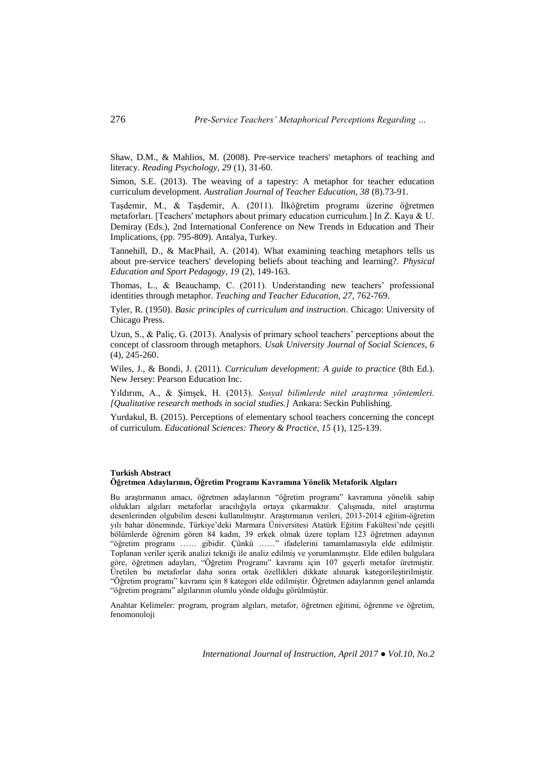Shaw, D.M., & Mahlios, M. (2008). Pre-service teachers' metaphors of teaching and literacy. *Reading Psychology, 29* (1), 31-60.

Simon, S.E. (2013). The weaving of a tapestry: A metaphor for teacher education curriculum development. *Australian Journal of Teacher Education, 38* (8).73-91.

Taşdemir, M., & Taşdemir, A. (2011). İlköğretim programı üzerine öğretmen metaforları. [Teachers' metaphors about primary education curriculum.] In Z. Kaya & U. Demiray (Eds.), 2nd International Conference on New Trends in Education and Their Implications, (pp. 795-809). Antalya, Turkey.

Tannehill, D., & MacPhail, A. (2014). What examining teaching metaphors tells us about pre-service teachers' developing beliefs about teaching and learning?. *Physical Education and Sport Pedagogy, 19* (2), 149-163.

Thomas, L., & Beauchamp, C. (2011). Understanding new teachers' professional identities through metaphor. *Teaching and Teacher Education, 27*, 762-769.

Tyler, R. (1950). *Basic principles of curriculum and instruction*. Chicago: University of Chicago Press.

Uzun, S., & Paliç, G. (2013). Analysis of primary school teachers' perceptions about the concept of classroom through metaphors. *Usak University Journal of Social Sciences, 6* (4), 245-260.

Wiles, J., & Bondi, J. (2011). *Curriculum development: A guide to practice* (8th Ed.). New Jersey: Pearson Education Inc.

Yıldırım, A., & Şimşek, H. (2013). *Sosyal bilimlerde nitel araştırma yöntemleri. [Qualitative research methods in social studies.]* Ankara: Seckin Publishing.

Yurdakul, B. (2015). Perceptions of elementary school teachers concerning the concept of curriculum. *Educational Sciences: Theory & Practice, 15* (1), 125-139.

#### **Turkish Abstract Öğretmen Adaylarının, Öğretim Programı Kavramına Yönelik Metaforik Algıları**

Bu araştırmanın amacı, öğretmen adaylarının "öğretim programı" kavramına yönelik sahip oldukları algıları metaforlar aracılığıyla ortaya çıkarmaktır. Çalışmada, nitel araştırma desenlerinden olgubilim deseni kullanılmıştır. Araştırmanın verileri, 2013-2014 eğitim-öğretim yılı bahar döneminde, Türkiye'deki Marmara Üniversitesi Atatürk Eğitim Fakültesi'nde çeşitli bölümlerde öğrenim gören 84 kadın, 39 erkek olmak üzere toplam 123 öğretmen adayının "öğretim programı …… gibidir. Çünkü ……" ifadelerini tamamlamasıyla elde edilmiştir. Toplanan veriler içerik analizi tekniği ile analiz edilmiş ve yorumlanmıştır. Elde edilen bulgulara göre, öğretmen adayları, "Öğretim Programı" kavramı için 107 geçerli metafor üretmiştir. Üretilen bu metaforlar daha sonra ortak özellikleri dikkate alınarak kategorileştirilmiştir. "Öğretim programı" kavramı için 8 kategori elde edilmiştir. Öğretmen adaylarının genel anlamda "öğretim programı" algılarının olumlu yönde olduğu görülmüştür.

Anahtar Kelimeler: program, program algıları, metafor, öğretmen eğitimi, öğrenme ve öğretim, fenomonoloji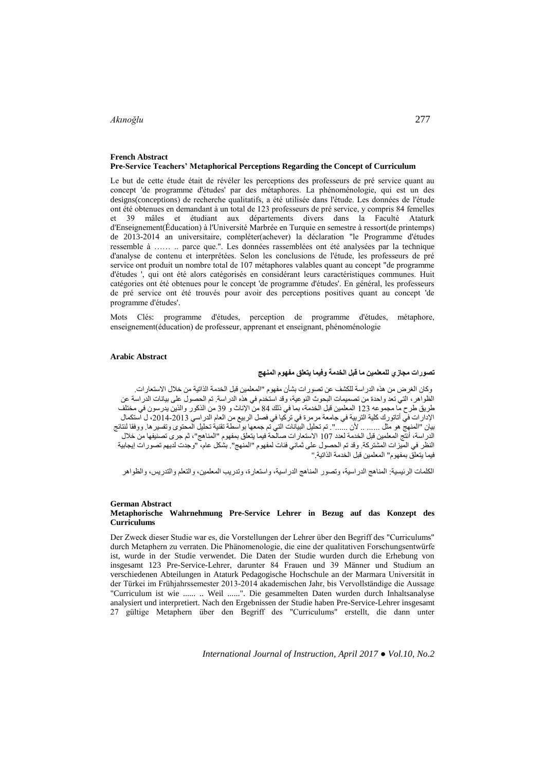#### **French Abstract Pre-Service Teachers' Metaphorical Perceptions Regarding the Concept of Curriculum**

Le but de cette étude était de révéler les perceptions des professeurs de pré service quant au concept 'de programme d'études' par des métaphores. La phénoménologie, qui est un des designs(conceptions) de recherche qualitatifs, a été utilisée dans l'étude. Les données de l'étude ont été obtenues en demandant à un total de 123 professeurs de pré service, y compris 84 femelles et 39 mâles et étudiant aux départements divers dans la Faculté Ataturk d'Enseignement(Éducation) à l'Université Marbrée en Turquie en semestre à ressort(de printemps) de 2013-2014 an universitaire, compléter(achever) la déclaration "le Programme d'études ressemble à …… .. parce que.". Les données rassemblées ont été analysées par la technique d'analyse de contenu et interprétées. Selon les conclusions de l'étude, les professeurs de pré service ont produit un nombre total de 107 métaphores valables quant au concept "de programme d'études ', qui ont été alors catégorisés en considérant leurs caractéristiques communes. Huit catégories ont été obtenues pour le concept 'de programme d'études'. En général, les professeurs de pré service ont été trouvés pour avoir des perceptions positives quant au concept 'de programme d'études'.

Mots Clés: programme d'études, perception de programme d'études, métaphore, enseignement(éducation) de professeur, apprenant et enseignant, phénoménologie

#### **Arabic Abstract**

#### **تصورات مجازي للمعلمين ما قبل الخدمة وفيما يتعلق مفهوم المنهج**

وكان الغرض من هذه الدراسة للكشف عن تصورات بشأن مفهوم "المعلمين قبل الخدمة الذاتية من خالل االستعارات. الظواهر، التي تعد واحدة من تصميمات البحوث النوعية، وقد استخدم في هذه الدراسة. تم الحصول على بيانات الدراسة عن طريق طرح ما مجموعه 321 المعلمين قبل الخدمة، بما في ذلك 48 من اإلناث و 13 من الذكور والذين يدرسون في مختلف اإلدارات في أتاتورك كلية التربية في جامعة مرمرة في تركيا في فصل الربيع من العام الدراسي ،2138-2131 ل استكمال بيان "المنهج هو مثل ...... .. ألن ......". تم تحليل البيانات التي تم جمعها بواسطة تقنية تحليل المحتوى وتفسيرها. ووفقا لنتائج الدراسة، أنتج المعلمين قبل الخدمة لعدد 311 االستعارات صالحة فيما يتعلق بمفهوم "المناهج"، ثم جرى تصنيفها من خالل النظر في الميزات المشتركة. وقد تم الحصول على ثماني فئات لمفهوم "المنهج". بشكل عام، "وجدت لديهم تصورات إيجابية فيما يتعلق بمفهوم" المعلمين قبل الخدمة الذاتية."

الكلمات الرئيسية: المناهج الدراسية، وتصور المناهج الدراسية، واستعارة، وتدريب المعلمين، والتعلم والتدريس، والظواهر

# **German Abstract**

#### **Metaphorische Wahrnehmung Pre-Service Lehrer in Bezug auf das Konzept des Curriculums**

Der Zweck dieser Studie war es, die Vorstellungen der Lehrer über den Begriff des "Curriculums" durch Metaphern zu verraten. Die Phänomenologie, die eine der qualitativen Forschungsentwürfe ist, wurde in der Studie verwendet. Die Daten der Studie wurden durch die Erhebung von insgesamt 123 Pre-Service-Lehrer, darunter 84 Frauen und 39 Männer und Studium an verschiedenen Abteilungen in Ataturk Pedagogische Hochschule an der Marmara Universität in der Türkei im Frühjahrssemester 2013-2014 akademischen Jahr, bis Vervollständige die Aussage "Curriculum ist wie ...... .. Weil ......". Die gesammelten Daten wurden durch Inhaltsanalyse analysiert und interpretiert. Nach den Ergebnissen der Studie haben Pre-Service-Lehrer insgesamt 27 gültige Metaphern über den Begriff des "Curriculums" erstellt, die dann unter